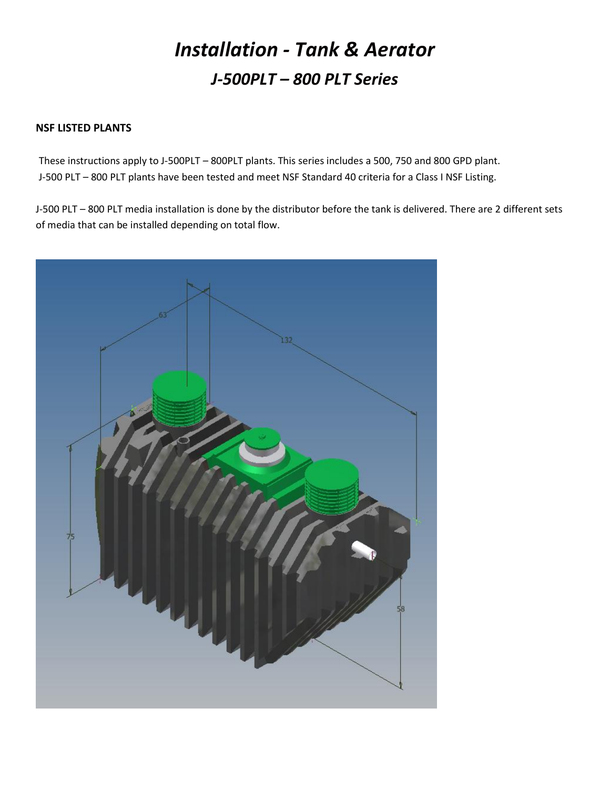# *Installation - Tank & Aerator J-500PLT – 800 PLT Series*

## **NSF LISTED PLANTS**

These instructions apply to J-500PLT – 800PLT plants. This series includes a 500, 750 and 800 GPD plant. J-500 PLT – 800 PLT plants have been tested and meet NSF Standard 40 criteria for a Class I NSF Listing.

J-500 PLT – 800 PLT media installation is done by the distributor before the tank is delivered. There are 2 different sets of media that can be installed depending on total flow.

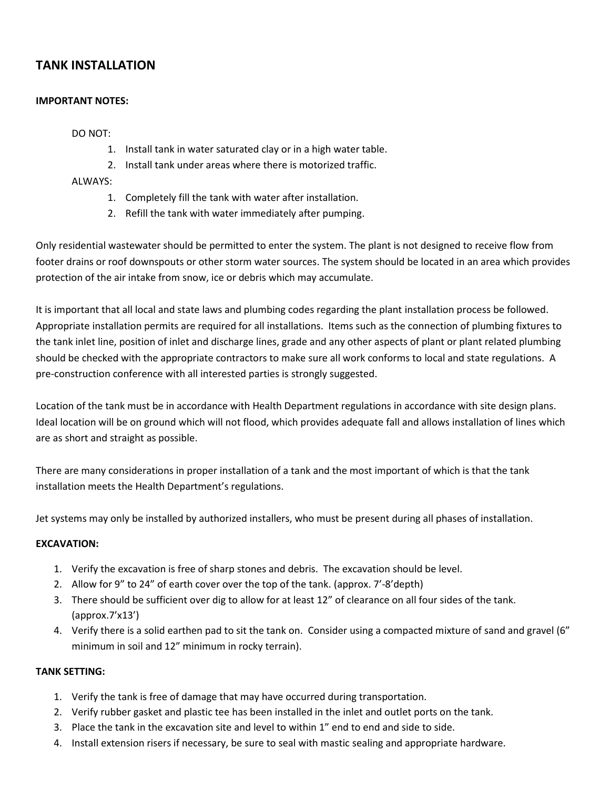# **TANK INSTALLATION**

#### **IMPORTANT NOTES:**

#### DO NOT:

- 1. Install tank in water saturated clay or in a high water table.
- 2. Install tank under areas where there is motorized traffic.

#### ALWAYS:

- 1. Completely fill the tank with water after installation.
- 2. Refill the tank with water immediately after pumping.

Only residential wastewater should be permitted to enter the system. The plant is not designed to receive flow from footer drains or roof downspouts or other storm water sources. The system should be located in an area which provides protection of the air intake from snow, ice or debris which may accumulate.

It is important that all local and state laws and plumbing codes regarding the plant installation process be followed. Appropriate installation permits are required for all installations. Items such as the connection of plumbing fixtures to the tank inlet line, position of inlet and discharge lines, grade and any other aspects of plant or plant related plumbing should be checked with the appropriate contractors to make sure all work conforms to local and state regulations. A pre-construction conference with all interested parties is strongly suggested.

Location of the tank must be in accordance with Health Department regulations in accordance with site design plans. Ideal location will be on ground which will not flood, which provides adequate fall and allows installation of lines which are as short and straight as possible.

There are many considerations in proper installation of a tank and the most important of which is that the tank installation meets the Health Department's regulations.

Jet systems may only be installed by authorized installers, who must be present during all phases of installation.

#### **EXCAVATION:**

- 1. Verify the excavation is free of sharp stones and debris. The excavation should be level.
- 2. Allow for 9" to 24" of earth cover over the top of the tank. (approx. 7'-8'depth)
- 3. There should be sufficient over dig to allow for at least 12" of clearance on all four sides of the tank. (approx.7'x13')
- 4. Verify there is a solid earthen pad to sit the tank on. Consider using a compacted mixture of sand and gravel (6" minimum in soil and 12" minimum in rocky terrain).

#### **TANK SETTING:**

- 1. Verify the tank is free of damage that may have occurred during transportation.
- 2. Verify rubber gasket and plastic tee has been installed in the inlet and outlet ports on the tank.
- 3. Place the tank in the excavation site and level to within 1" end to end and side to side.
- 4. Install extension risers if necessary, be sure to seal with mastic sealing and appropriate hardware.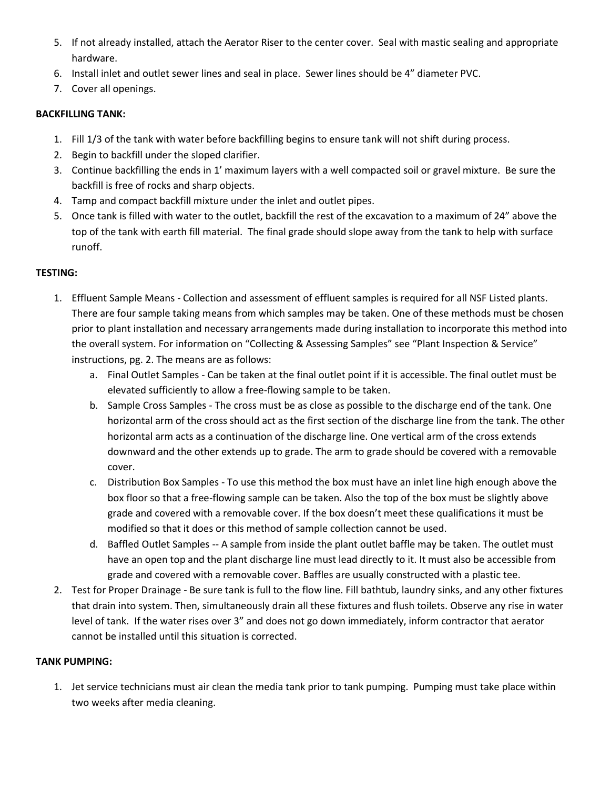- 5. If not already installed, attach the Aerator Riser to the center cover. Seal with mastic sealing and appropriate hardware.
- 6. Install inlet and outlet sewer lines and seal in place. Sewer lines should be 4" diameter PVC.
- 7. Cover all openings.

#### **BACKFILLING TANK:**

- 1. Fill 1/3 of the tank with water before backfilling begins to ensure tank will not shift during process.
- 2. Begin to backfill under the sloped clarifier.
- 3. Continue backfilling the ends in 1' maximum layers with a well compacted soil or gravel mixture. Be sure the backfill is free of rocks and sharp objects.
- 4. Tamp and compact backfill mixture under the inlet and outlet pipes.
- 5. Once tank is filled with water to the outlet, backfill the rest of the excavation to a maximum of 24" above the top of the tank with earth fill material. The final grade should slope away from the tank to help with surface runoff.

### **TESTING:**

- 1. Effluent Sample Means Collection and assessment of effluent samples is required for all NSF Listed plants. There are four sample taking means from which samples may be taken. One of these methods must be chosen prior to plant installation and necessary arrangements made during installation to incorporate this method into the overall system. For information on "Collecting & Assessing Samples" see "Plant Inspection & Service" instructions, pg. 2. The means are as follows:
	- a. Final Outlet Samples Can be taken at the final outlet point if it is accessible. The final outlet must be elevated sufficiently to allow a free-flowing sample to be taken.
	- b. Sample Cross Samples The cross must be as close as possible to the discharge end of the tank. One horizontal arm of the cross should act as the first section of the discharge line from the tank. The other horizontal arm acts as a continuation of the discharge line. One vertical arm of the cross extends downward and the other extends up to grade. The arm to grade should be covered with a removable cover.
	- c. Distribution Box Samples To use this method the box must have an inlet line high enough above the box floor so that a free-flowing sample can be taken. Also the top of the box must be slightly above grade and covered with a removable cover. If the box doesn't meet these qualifications it must be modified so that it does or this method of sample collection cannot be used.
	- d. Baffled Outlet Samples -- A sample from inside the plant outlet baffle may be taken. The outlet must have an open top and the plant discharge line must lead directly to it. It must also be accessible from grade and covered with a removable cover. Baffles are usually constructed with a plastic tee.
- 2. Test for Proper Drainage Be sure tank is full to the flow line. Fill bathtub, laundry sinks, and any other fixtures that drain into system. Then, simultaneously drain all these fixtures and flush toilets. Observe any rise in water level of tank. If the water rises over 3" and does not go down immediately, inform contractor that aerator cannot be installed until this situation is corrected.

#### **TANK PUMPING:**

1. Jet service technicians must air clean the media tank prior to tank pumping. Pumping must take place within two weeks after media cleaning.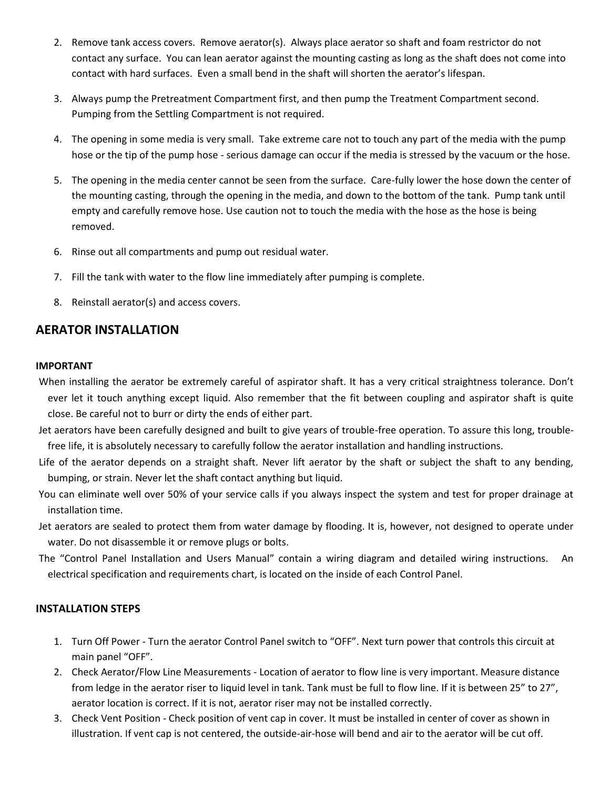- 2. Remove tank access covers. Remove aerator(s). Always place aerator so shaft and foam restrictor do not contact any surface. You can lean aerator against the mounting casting as long as the shaft does not come into contact with hard surfaces. Even a small bend in the shaft will shorten the aerator's lifespan.
- 3. Always pump the Pretreatment Compartment first, and then pump the Treatment Compartment second. Pumping from the Settling Compartment is not required.
- 4. The opening in some media is very small. Take extreme care not to touch any part of the media with the pump hose or the tip of the pump hose - serious damage can occur if the media is stressed by the vacuum or the hose.
- 5. The opening in the media center cannot be seen from the surface. Care-fully lower the hose down the center of the mounting casting, through the opening in the media, and down to the bottom of the tank. Pump tank until empty and carefully remove hose. Use caution not to touch the media with the hose as the hose is being removed.
- 6. Rinse out all compartments and pump out residual water.
- 7. Fill the tank with water to the flow line immediately after pumping is complete.
- 8. Reinstall aerator(s) and access covers.

# **AERATOR INSTALLATION**

#### **IMPORTANT**

When installing the aerator be extremely careful of aspirator shaft. It has a very critical straightness tolerance. Don't ever let it touch anything except liquid. Also remember that the fit between coupling and aspirator shaft is quite close. Be careful not to burr or dirty the ends of either part.

- Jet aerators have been carefully designed and built to give years of trouble-free operation. To assure this long, troublefree life, it is absolutely necessary to carefully follow the aerator installation and handling instructions.
- Life of the aerator depends on a straight shaft. Never lift aerator by the shaft or subject the shaft to any bending, bumping, or strain. Never let the shaft contact anything but liquid.
- You can eliminate well over 50% of your service calls if you always inspect the system and test for proper drainage at installation time.
- Jet aerators are sealed to protect them from water damage by flooding. It is, however, not designed to operate under water. Do not disassemble it or remove plugs or bolts.
- The "Control Panel Installation and Users Manual" contain a wiring diagram and detailed wiring instructions. An electrical specification and requirements chart, is located on the inside of each Control Panel.

#### **INSTALLATION STEPS**

- 1. Turn Off Power Turn the aerator Control Panel switch to "OFF". Next turn power that controls this circuit at main panel "OFF".
- 2. Check Aerator/Flow Line Measurements Location of aerator to flow line is very important. Measure distance from ledge in the aerator riser to liquid level in tank. Tank must be full to flow line. If it is between 25" to 27", aerator location is correct. If it is not, aerator riser may not be installed correctly.
- 3. Check Vent Position Check position of vent cap in cover. It must be installed in center of cover as shown in illustration. If vent cap is not centered, the outside-air-hose will bend and air to the aerator will be cut off.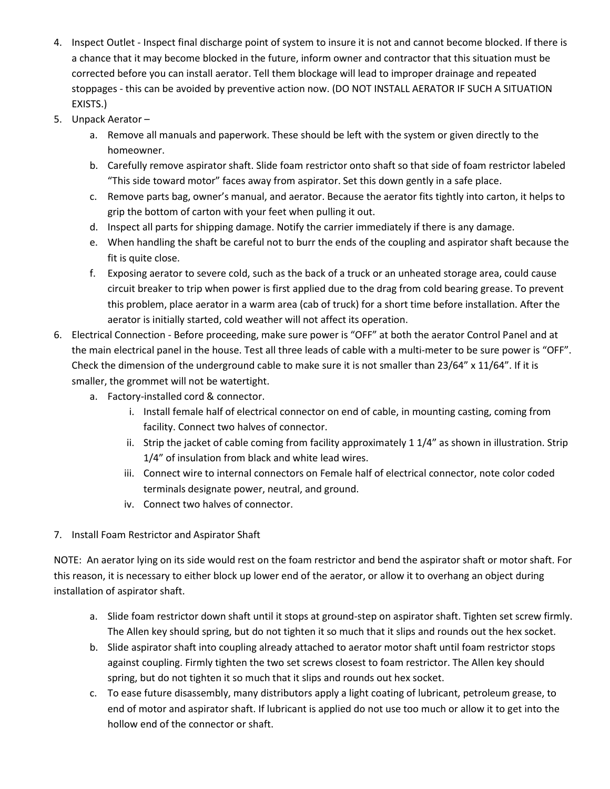- 4. Inspect Outlet Inspect final discharge point of system to insure it is not and cannot become blocked. If there is a chance that it may become blocked in the future, inform owner and contractor that this situation must be corrected before you can install aerator. Tell them blockage will lead to improper drainage and repeated stoppages - this can be avoided by preventive action now. (DO NOT INSTALL AERATOR IF SUCH A SITUATION EXISTS.)
- 5. Unpack Aerator
	- a. Remove all manuals and paperwork. These should be left with the system or given directly to the homeowner.
	- b. Carefully remove aspirator shaft. Slide foam restrictor onto shaft so that side of foam restrictor labeled "This side toward motor" faces away from aspirator. Set this down gently in a safe place.
	- c. Remove parts bag, owner's manual, and aerator. Because the aerator fits tightly into carton, it helps to grip the bottom of carton with your feet when pulling it out.
	- d. Inspect all parts for shipping damage. Notify the carrier immediately if there is any damage.
	- e. When handling the shaft be careful not to burr the ends of the coupling and aspirator shaft because the fit is quite close.
	- f. Exposing aerator to severe cold, such as the back of a truck or an unheated storage area, could cause circuit breaker to trip when power is first applied due to the drag from cold bearing grease. To prevent this problem, place aerator in a warm area (cab of truck) for a short time before installation. After the aerator is initially started, cold weather will not affect its operation.
- 6. Electrical Connection Before proceeding, make sure power is "OFF" at both the aerator Control Panel and at the main electrical panel in the house. Test all three leads of cable with a multi-meter to be sure power is "OFF". Check the dimension of the underground cable to make sure it is not smaller than 23/64" x 11/64". If it is smaller, the grommet will not be watertight.
	- a. Factory-installed cord & connector.
		- i. Install female half of electrical connector on end of cable, in mounting casting, coming from facility. Connect two halves of connector.
		- ii. Strip the jacket of cable coming from facility approximately 1 1/4" as shown in illustration. Strip 1/4" of insulation from black and white lead wires.
		- iii. Connect wire to internal connectors on Female half of electrical connector, note color coded terminals designate power, neutral, and ground.
		- iv. Connect two halves of connector.
- 7. Install Foam Restrictor and Aspirator Shaft

NOTE: An aerator lying on its side would rest on the foam restrictor and bend the aspirator shaft or motor shaft. For this reason, it is necessary to either block up lower end of the aerator, or allow it to overhang an object during installation of aspirator shaft.

- a. Slide foam restrictor down shaft until it stops at ground-step on aspirator shaft. Tighten set screw firmly. The Allen key should spring, but do not tighten it so much that it slips and rounds out the hex socket.
- b. Slide aspirator shaft into coupling already attached to aerator motor shaft until foam restrictor stops against coupling. Firmly tighten the two set screws closest to foam restrictor. The Allen key should spring, but do not tighten it so much that it slips and rounds out hex socket.
- c. To ease future disassembly, many distributors apply a light coating of lubricant, petroleum grease, to end of motor and aspirator shaft. If lubricant is applied do not use too much or allow it to get into the hollow end of the connector or shaft.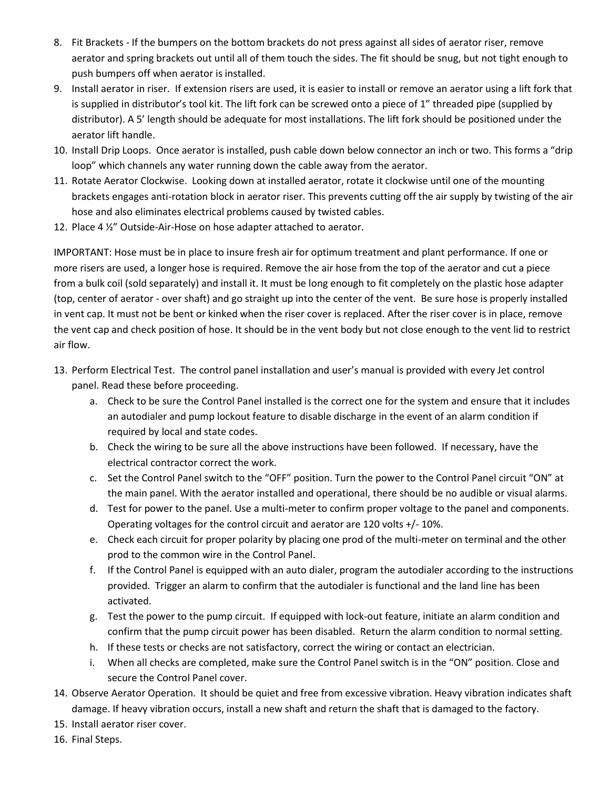- 8. Fit Brackets If the bumpers on the bottom brackets do not press against all sides of aerator riser, remove aerator and spring brackets out until all of them touch the sides. The fit should be snug, but not tight enough to push bumpers off when aerator is installed.
- 9. Install aerator in riser. If extension risers are used, it is easier to install or remove an aerator using a lift fork that is supplied in distributor's tool kit. The lift fork can be screwed onto a piece of 1" threaded pipe (supplied by distributor). A 5' length should be adequate for most installations. The lift fork should be positioned under the aerator lift handle.
- 10. Install Drip Loops. Once aerator is installed, push cable down below connector an inch or two. This forms a "drip loop" which channels any water running down the cable away from the aerator.
- 11. Rotate Aerator Clockwise. Looking down at installed aerator, rotate it clockwise until one of the mounting brackets engages anti-rotation block in aerator riser. This prevents cutting off the air supply by twisting of the air hose and also eliminates electrical problems caused by twisted cables.
- 12. Place 4 ½" Outside-Air-Hose on hose adapter attached to aerator.

IMPORTANT: Hose must be in place to insure fresh air for optimum treatment and plant performance. If one or more risers are used, a longer hose is required. Remove the air hose from the top of the aerator and cut a piece from a bulk coil (sold separately) and install it. It must be long enough to fit completely on the plastic hose adapter (top, center of aerator - over shaft) and go straight up into the center of the vent. Be sure hose is properly installed in vent cap. It must not be bent or kinked when the riser cover is replaced. After the riser cover is in place, remove the vent cap and check position of hose. It should be in the vent body but not close enough to the vent lid to restrict air flow.

- 13. Perform Electrical Test. The control panel installation and user's manual is provided with every Jet control panel. Read these before proceeding.
	- a. Check to be sure the Control Panel installed is the correct one for the system and ensure that it includes an autodialer and pump lockout feature to disable discharge in the event of an alarm condition if required by local and state codes.
	- b. Check the wiring to be sure all the above instructions have been followed. If necessary, have the electrical contractor correct the work.
	- c. Set the Control Panel switch to the "OFF" position. Turn the power to the Control Panel circuit "ON" at the main panel. With the aerator installed and operational, there should be no audible or visual alarms.
	- d. Test for power to the panel. Use a multi-meter to confirm proper voltage to the panel and components. Operating voltages for the control circuit and aerator are 120 volts +/- 10%.
	- e. Check each circuit for proper polarity by placing one prod of the multi-meter on terminal and the other prod to the common wire in the Control Panel.
	- f. If the Control Panel is equipped with an auto dialer, program the autodialer according to the instructions provided. Trigger an alarm to confirm that the autodialer is functional and the land line has been activated.
	- g. Test the power to the pump circuit. If equipped with lock-out feature, initiate an alarm condition and confirm that the pump circuit power has been disabled. Return the alarm condition to normal setting.
	- h. If these tests or checks are not satisfactory, correct the wiring or contact an electrician.
	- i. When all checks are completed, make sure the Control Panel switch is in the "ON" position. Close and secure the Control Panel cover.
- 14. Observe Aerator Operation. It should be quiet and free from excessive vibration. Heavy vibration indicates shaft damage. If heavy vibration occurs, install a new shaft and return the shaft that is damaged to the factory.
- 15. Install aerator riser cover.
- 16. Final Steps.